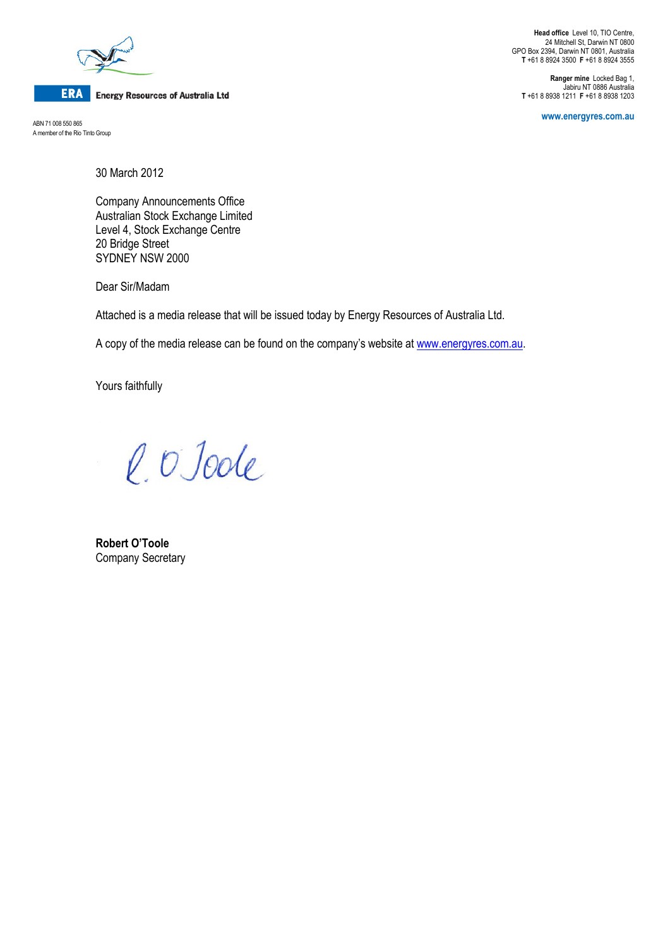

## **ERA** Energy Resources of Australia Ltd

ABN 71 008 550 865 A member of the Rio Tinto Group

Head office Level 10, TIO Centre, 24 Mitchell St, Darwin NT 0800 GPO Box 2394, Darwin NT 0801, Australia T +61 8 8924 3500 F +61 8 8924 3555

Ranger mine Locked Bag 1, Jabiru NT 0886 Australia T +61 8 8938 1211 F +61 8 8938 1203

www.energyres.com.au

30 March 2012

Company Announcements Office Australian Stock Exchange Limited Level 4, Stock Exchange Centre 20 Bridge Street SYDNEY NSW 2000

Dear Sir/Madam

Attached is a media release that will be issued today by Energy Resources of Australia Ltd.

A copy of the media release can be found on the company's website at www.energyres.com.au.

Yours faithfully

l. O Joole

Robert O'Toole Company Secretary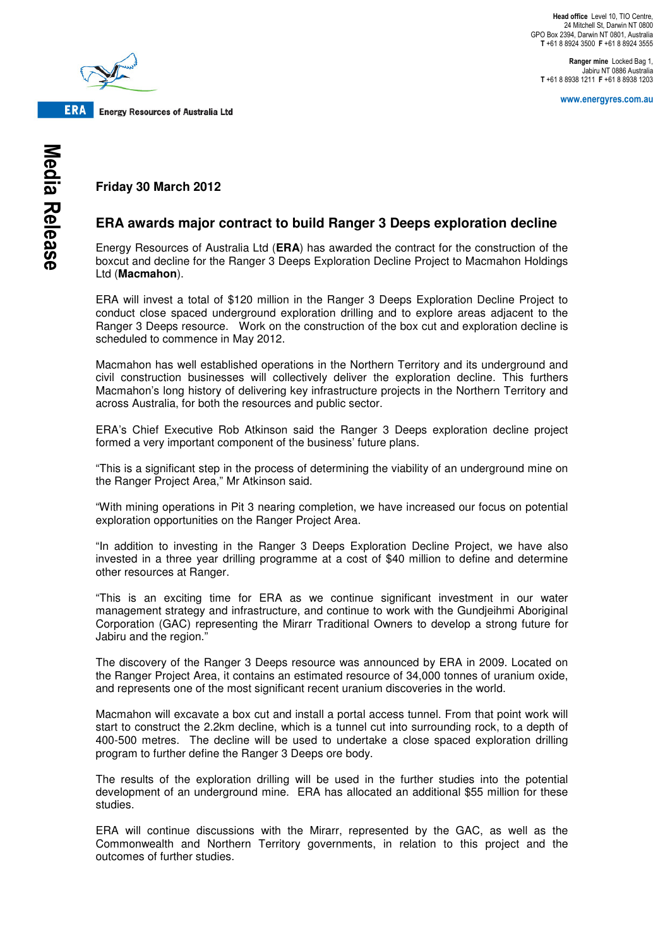Head office Level 10, TIO Centre, 24 Mitchell St, Darwin NT 0800 GPO Box 2394, Darwin NT 0801, Australia T +61 8 8924 3500 F +61 8 8924 3555

Ranger mine Locked Bag 1 Jabiru NT 0886 Australia T +61 8 8938 1211 F +61 8 8938 1203

www.energyres.com.au



**ERA Energy Resources of Australia Ltd** 

**Friday 30 March 2012**

## **ERA awards major contract to build Ranger 3 Deeps exploration decline**

Energy Resources of Australia Ltd (**ERA**) has awarded the contract for the construction of the boxcut and decline for the Ranger 3 Deeps Exploration Decline Project to Macmahon Holdings Ltd (**Macmahon**).

ERA will invest a total of \$120 million in the Ranger 3 Deeps Exploration Decline Project to conduct close spaced underground exploration drilling and to explore areas adjacent to the Ranger 3 Deeps resource. Work on the construction of the box cut and exploration decline is scheduled to commence in May 2012.

Macmahon has well established operations in the Northern Territory and its underground and civil construction businesses will collectively deliver the exploration decline. This furthers Macmahon's long history of delivering key infrastructure projects in the Northern Territory and across Australia, for both the resources and public sector.

ERA's Chief Executive Rob Atkinson said the Ranger 3 Deeps exploration decline project formed a very important component of the business' future plans.

"This is a significant step in the process of determining the viability of an underground mine on the Ranger Project Area," Mr Atkinson said.

"With mining operations in Pit 3 nearing completion, we have increased our focus on potential exploration opportunities on the Ranger Project Area.

"In addition to investing in the Ranger 3 Deeps Exploration Decline Project, we have also invested in a three year drilling programme at a cost of \$40 million to define and determine other resources at Ranger.

"This is an exciting time for ERA as we continue significant investment in our water management strategy and infrastructure, and continue to work with the Gundjeihmi Aboriginal Corporation (GAC) representing the Mirarr Traditional Owners to develop a strong future for Jabiru and the region."

The discovery of the Ranger 3 Deeps resource was announced by ERA in 2009. Located on the Ranger Project Area, it contains an estimated resource of 34,000 tonnes of uranium oxide, and represents one of the most significant recent uranium discoveries in the world.

Macmahon will excavate a box cut and install a portal access tunnel. From that point work will start to construct the 2.2km decline, which is a tunnel cut into surrounding rock, to a depth of 400-500 metres. The decline will be used to undertake a close spaced exploration drilling program to further define the Ranger 3 Deeps ore body.

The results of the exploration drilling will be used in the further studies into the potential development of an underground mine. ERA has allocated an additional \$55 million for these studies.

ERA will continue discussions with the Mirarr, represented by the GAC, as well as the Commonwealth and Northern Territory governments, in relation to this project and the outcomes of further studies.